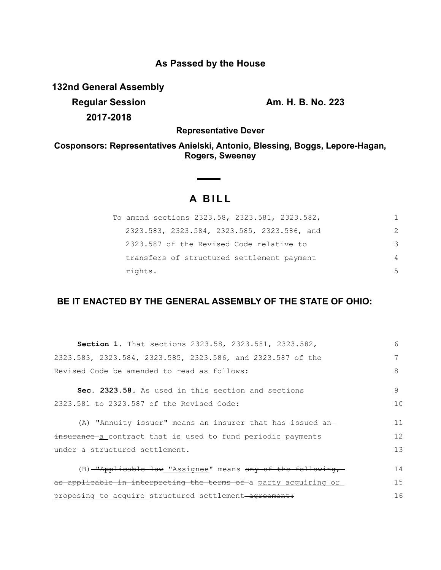# **As Passed by the House**

**132nd General Assembly**

**Regular Session Am. H. B. No. 223 2017-2018**

**Representative Dever**

**Cosponsors: Representatives Anielski, Antonio, Blessing, Boggs, Lepore-Hagan, Rogers, Sweeney**

# **A B I L L**

| To amend sections 2323.58, 2323.581, 2323.582, | 1.            |
|------------------------------------------------|---------------|
| 2323.583, 2323.584, 2323.585, 2323.586, and    | $\mathcal{P}$ |
| 2323.587 of the Revised Code relative to       | 3             |
| transfers of structured settlement payment     | 4             |
| rights.                                        | .5            |

## **BE IT ENACTED BY THE GENERAL ASSEMBLY OF THE STATE OF OHIO:**

| Section 1. That sections 2323.58, 2323.581, 2323.582,           | 6  |
|-----------------------------------------------------------------|----|
| 2323.583, 2323.584, 2323.585, 2323.586, and 2323.587 of the     | 7  |
| Revised Code be amended to read as follows:                     | 8  |
| Sec. 2323.58. As used in this section and sections              | 9  |
| 2323.581 to 2323.587 of the Revised Code:                       | 10 |
| (A) "Annuity issuer" means an insurer that has issued an-       | 11 |
| insurance a contract that is used to fund periodic payments     | 12 |
| under a structured settlement.                                  | 13 |
| (B) -"Applicable law "Assignee" means any of the following,     | 14 |
| as applicable in interpreting the terms of a party acquiring or | 15 |
| proposing to acquire structured settlement-agreement:           | 16 |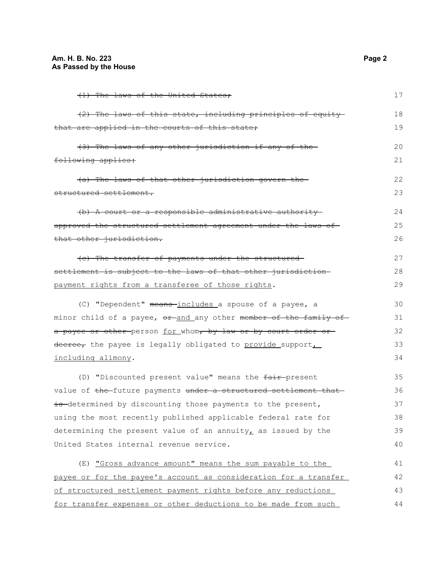| (1) The laws of the United States;                                                     | 17 |
|----------------------------------------------------------------------------------------|----|
| (2) The laws of this state, including principles of equity                             | 18 |
| that are applied in the courts of this state;                                          | 19 |
| (3) The laws of any other jurisdiction if any of the                                   | 20 |
| following applies:                                                                     | 21 |
| (a) The laws of that other jurisdiction govern the-                                    | 22 |
| structured settlement.                                                                 | 23 |
| (b) A court or a responsible administrative authority-                                 | 24 |
| approved the structured settlement agreement under the laws of                         | 25 |
| that other jurisdiction.                                                               | 26 |
| (c) The transfer of payments under the structured-                                     | 27 |
| settlement is subject to the laws of that other jurisdiction                           | 28 |
| payment rights from a transferee of those rights.                                      | 29 |
| (C) "Dependent" means-includes a spouse of a payee, a                                  | 30 |
| minor child of a payee, <del>or and</del> any other <del>member of the family of</del> | 31 |
| a payee or other person for whom, by law or by court order or                          | 32 |
| decree, the payee is legally obligated to provide support,                             | 33 |
| including alimony.                                                                     | 34 |
| (D) "Discounted present value" means the fair-present                                  | 35 |
| value of the-future payments under a structured settlement that-                       | 36 |
| is determined by discounting those payments to the present,                            | 37 |
| using the most recently published applicable federal rate for                          | 38 |
| determining the present value of an annuity, as issued by the                          | 39 |
| United States internal revenue service.                                                | 40 |
| (E) "Gross advance amount" means the sum payable to the                                | 41 |
| payee or for the payee's account as consideration for a transfer                       | 42 |
| of structured settlement payment rights before any reductions                          | 43 |
| for transfer expenses or other deductions to be made from such                         | 44 |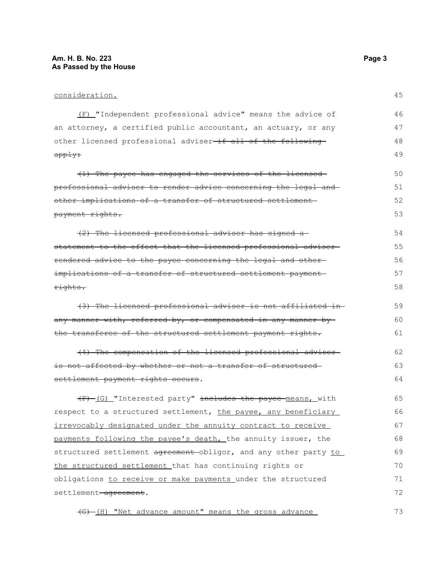### consideration.

| (F) "Independent professional advice" means the advice of               | 46 |
|-------------------------------------------------------------------------|----|
| an attorney, a certified public accountant, an actuary, or any          | 47 |
| other licensed professional adviser <del>-if all of the following</del> | 48 |
| <del>apply:</del>                                                       | 49 |
| (1) The payee has engaged the services of the licensed-                 | 50 |
| professional adviser to render advice concerning the legal and          | 51 |
| <u>other implications of a transfer of structured settlement-</u>       | 52 |
| payment rights.                                                         | 53 |
| (2) The licensed professional adviser has signed a-                     | 54 |
| statement to the effect that the licensed professional adviser-         | 55 |
| rendered advice to the payee concerning the legal and other-            | 56 |
| implications of a transfer of structured settlement payment             | 57 |
| rights.                                                                 | 58 |
| (3) The licensed professional adviser is not affiliated in-             | 59 |
| any manner with, referred by, or compensated in any manner by           | 60 |
| the transferee of the structured settlement payment rights.             | 61 |
| (4) The compensation of the licensed professional adviser-              | 62 |
| is not affected by whether or not a transfer of structured-             | 63 |
| settlement payment rights occurs.                                       | 64 |
| (F) (G) "Interested party" includes the payee means, with               | 65 |
| respect to a structured settlement, the payee, any beneficiary          | 66 |
| irrevocably designated under the annuity contract to receive            | 67 |
| payments following the payee's death, the annuity issuer, the           | 68 |
| structured settlement agreement-obligor, and any other party to         | 69 |
| the structured settlement that has continuing rights or                 | 70 |
| obligations to receive or make payments under the structured            | 71 |
| settlement-agreement.                                                   | 72 |
| (G) (H) "Net advance amount" means the gross advance                    | 73 |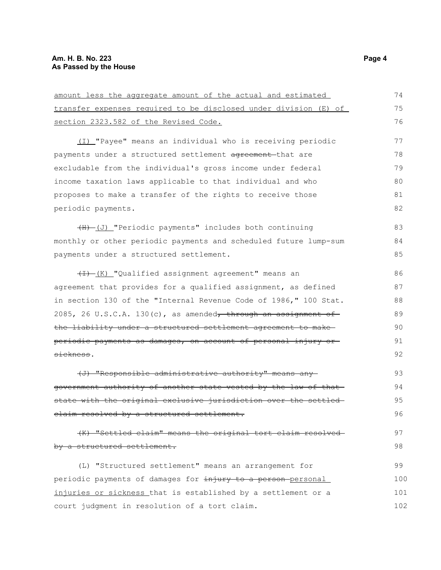| amount less the aggregate amount of the actual and estimated     | 74  |
|------------------------------------------------------------------|-----|
| transfer expenses required to be disclosed under division (E) of | 75  |
| section 2323.582 of the Revised Code.                            | 76  |
| (I) "Payee" means an individual who is receiving periodic        | 77  |
| payments under a structured settlement agreement that are        | 78  |
| excludable from the individual's gross income under federal      | 79  |
| income taxation laws applicable to that individual and who       | 80  |
| proposes to make a transfer of the rights to receive those       | 81  |
| periodic payments.                                               | 82  |
| (H) (J) "Periodic payments" includes both continuing             | 83  |
| monthly or other periodic payments and scheduled future lump-sum | 84  |
| payments under a structured settlement.                          | 85  |
| (I) (K) "Qualified assignment agreement" means an                | 86  |
| agreement that provides for a qualified assignment, as defined   | 87  |
| in section 130 of the "Internal Revenue Code of 1986," 100 Stat. | 88  |
| 2085, 26 U.S.C.A. 130(c), as amended, through an assignment of   | 89  |
| the liability under a structured settlement agreement to make-   | 90  |
| periodic payments as damages, on account of personal injury or   | 91  |
| sickness.                                                        | 92  |
| (J) "Responsible administrative authority" means any             | 93  |
| government authority of another state vested by the law of that- | 94  |
| state with the original exclusive jurisdiction over the settled- | 95  |
| claim resolved by a structured settlement.                       | 96  |
| (K) "Settled claim" means the original tort claim resolved-      | 97  |
| by a structured settlement.                                      | 98  |
| (L) "Structured settlement" means an arrangement for             | 99  |
| periodic payments of damages for injury to a person-personal     | 100 |
| injuries or sickness that is established by a settlement or a    | 101 |
| court judgment in resolution of a tort claim.                    | 102 |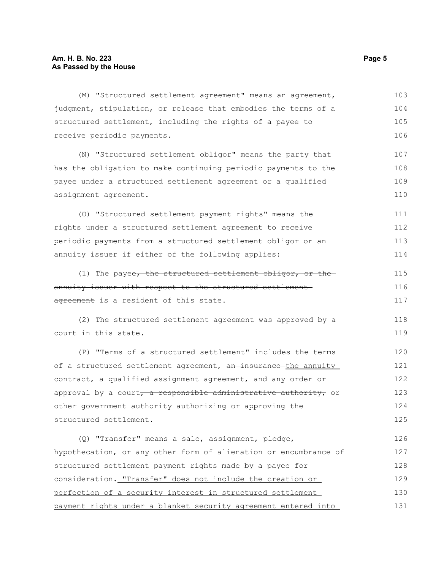(M) "Structured settlement agreement" means an agreement, judgment, stipulation, or release that embodies the terms of a structured settlement, including the rights of a payee to receive periodic payments. (N) "Structured settlement obligor" means the party that has the obligation to make continuing periodic payments to the payee under a structured settlement agreement or a qualified assignment agreement. (O) "Structured settlement payment rights" means the rights under a structured settlement agreement to receive periodic payments from a structured settlement obligor or an annuity issuer if either of the following applies: (1) The payee, the structured settlement obligor, or the annuity issuer with respect to the structured settlementagreement is a resident of this state. (2) The structured settlement agreement was approved by a court in this state. (P) "Terms of a structured settlement" includes the terms of a structured settlement agreement, an insurance the annuity contract, a qualified assignment agreement, and any order or approval by a court, a responsible administrative authority, or other government authority authorizing or approving the structured settlement. (Q) "Transfer" means a sale, assignment, pledge, hypothecation, or any other form of alienation or encumbrance of structured settlement payment rights made by a payee for consideration. "Transfer" does not include the creation or perfection of a security interest in structured settlement payment rights under a blanket security agreement entered into 103 104 105 106 107 108 109 110 111 112 113 114 115 116 117 118 119 120 121 122 123 124 125 126 127 128 129 130 131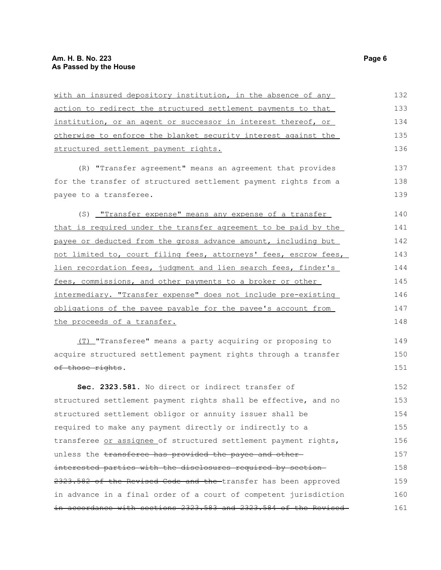| with an insured depository institution, in the absence of any    | 132 |
|------------------------------------------------------------------|-----|
| action to redirect the structured settlement payments to that    | 133 |
| institution, or an agent or successor in interest thereof, or    | 134 |
| otherwise to enforce the blanket security interest against the   | 135 |
| structured settlement payment rights.                            | 136 |
| (R) "Transfer agreement" means an agreement that provides        | 137 |
| for the transfer of structured settlement payment rights from a  | 138 |
| payee to a transferee.                                           | 139 |
| (S) <u>"Transfer expense" means any expense of a transfer</u>    | 140 |
| that is required under the transfer agreement to be paid by the  | 141 |
| payee or deducted from the gross advance amount, including but   | 142 |
| not limited to, court filing fees, attorneys' fees, escrow fees, | 143 |
| lien recordation fees, judgment and lien search fees, finder's   | 144 |
| fees, commissions, and other payments to a broker or other       | 145 |
| intermediary. "Transfer expense" does not include pre-existing   | 146 |
| obligations of the payee payable for the payee's account from    | 147 |
| the proceeds of a transfer.                                      | 148 |
| (T) "Transferee" means a party acquiring or proposing to         | 149 |
| acquire structured settlement payment rights through a transfer  | 150 |
| of those rights.                                                 | 151 |
| Sec. 2323.581. No direct or indirect transfer of                 | 152 |
| structured settlement payment rights shall be effective, and no  | 153 |
| structured settlement obligor or annuity issuer shall be         | 154 |
| required to make any payment directly or indirectly to a         | 155 |
| transferee or assignee of structured settlement payment rights,  | 156 |
| unless the transferee has provided the payee and other-          | 157 |
| interested parties with the disclosures required by section-     | 158 |
| 2323.582 of the Revised Code and the transfer has been approved  | 159 |
| in advance in a final order of a court of competent jurisdiction | 160 |
| in accordance with sections 2323.583 and 2323.584 of the Revised | 161 |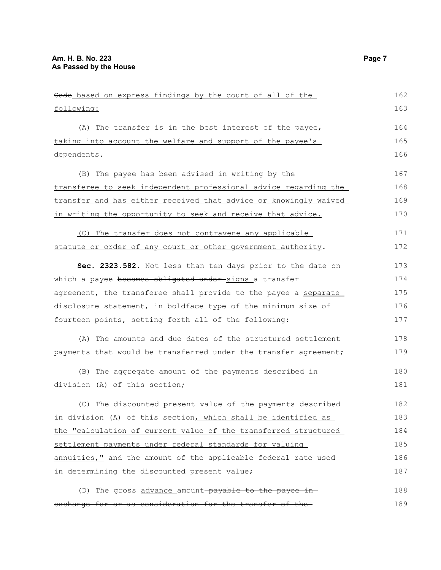| Code based on express findings by the court of all of the        | 162 |
|------------------------------------------------------------------|-----|
| following:                                                       | 163 |
| (A) The transfer is in the best interest of the payee,           | 164 |
| taking into account the welfare and support of the payee's       | 165 |
| dependents.                                                      | 166 |
| (B) The payee has been advised in writing by the                 | 167 |
| transferee to seek independent professional advice regarding the | 168 |
| transfer and has either received that advice or knowingly waived | 169 |
| in writing the opportunity to seek and receive that advice.      | 170 |
| (C) The transfer does not contravene any applicable              | 171 |
| statute or order of any court or other government authority.     | 172 |
| Sec. 2323.582. Not less than ten days prior to the date on       | 173 |
| which a payee becomes obligated under-signs a transfer           | 174 |
| agreement, the transferee shall provide to the payee a separate  | 175 |
| disclosure statement, in boldface type of the minimum size of    | 176 |
| fourteen points, setting forth all of the following:             | 177 |
| (A) The amounts and due dates of the structured settlement       | 178 |
| payments that would be transferred under the transfer agreement; | 179 |
| (B) The aggregate amount of the payments described in            | 180 |
| division (A) of this section;                                    | 181 |
| (C) The discounted present value of the payments described       | 182 |
| in division (A) of this section, which shall be identified as    | 183 |
| the "calculation of current value of the transferred structured  | 184 |
| settlement payments under federal standards for valuing          | 185 |
| annuities," and the amount of the applicable federal rate used   | 186 |
| in determining the discounted present value;                     | 187 |
| (D) The gross advance amount-payable to the payee in-            | 188 |
| exchange for or as consideration for the transfer of the-        | 189 |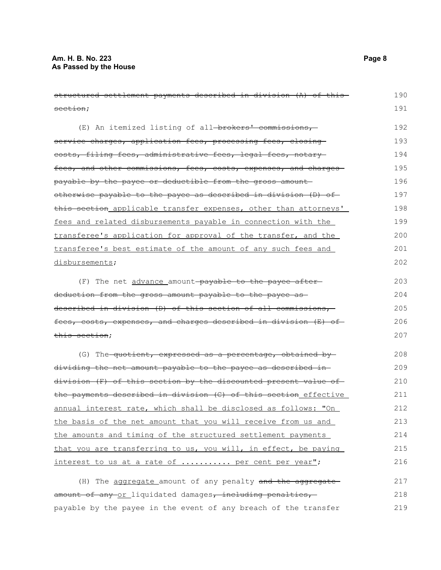structured settlement payments described in division (A) of this section; (E) An itemized listing of all-brokers' commissions, service charges, application fees, processing fees, closing costs, filing fees, administrative fees, legal fees, notary fees, and other commissions, fees, costs, expenses, and charges payable by the payee or deductible from the gross amount otherwise payable to the payee as described in division (D) of this section applicable transfer expenses, other than attorneys' fees and related disbursements payable in connection with the transferee's application for approval of the transfer, and the transferee's best estimate of the amount of any such fees and disbursements; (F) The net advance amount payable to the payee afterdeduction from the gross amount payable to the payee as described in division (D) of this section of all commissions, fees, costs, expenses, and charges described in division (E) of this section; (G) The quotient, expressed as a percentage, obtained by dividing the net amount payable to the payee as described in division (F) of this section by the discounted present value of the payments described in division (C) of this section effective annual interest rate, which shall be disclosed as follows: "On the basis of the net amount that you will receive from us and the amounts and timing of the structured settlement payments that you are transferring to us, you will, in effect, be paying interest to us at a rate of ........... per cent per year"; (H) The aggregate amount of any penalty and the aggregate amount of any or liquidated damages, including penalties, 190 191 192 193 194 195 196 197 198 199 200 201 202 203 204 205 206 207 208 209 210 211 212 213 214 215 216 217 218

payable by the payee in the event of any breach of the transfer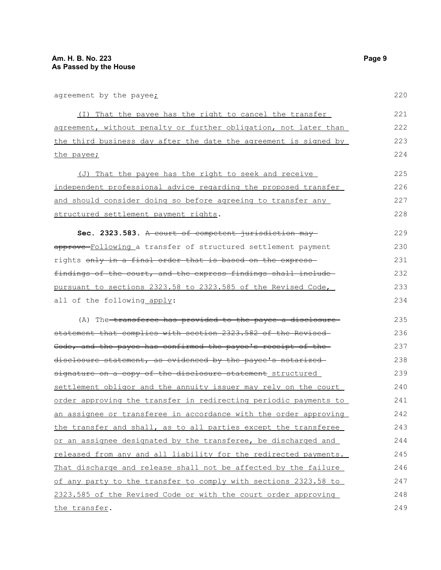agreement by the payee;

(I) That the payee has the right to cancel the transfer agreement, without penalty or further obligation, not later than the third business day after the date the agreement is signed by the payee;

(J) That the payee has the right to seek and receive independent professional advice regarding the proposed transfer and should consider doing so before agreeing to transfer any structured settlement payment rights. 225 226 227 228

**Sec. 2323.583.** A court of competent jurisdiction may approve Following a transfer of structured settlement payment rights only in a final order that is based on the express findings of the court, and the express findings shall include pursuant to sections 2323.58 to 2323.585 of the Revised Code, all of the following apply: 229 230 231 232 233 234

(A) The transferee has provided to the payee a disclosure statement that complies with section 2323.582 of the Revised Code, and the payee has confirmed the payee's receipt of the disclosure statement, as evidenced by the payee's notarized signature on a copy of the disclosure statement structured settlement obligor and the annuity issuer may rely on the court order approving the transfer in redirecting periodic payments to an assignee or transferee in accordance with the order approving the transfer and shall, as to all parties except the transferee or an assignee designated by the transferee, be discharged and released from any and all liability for the redirected payments. That discharge and release shall not be affected by the failure of any party to the transfer to comply with sections 2323.58 to 2323.585 of the Revised Code or with the court order approving the transfer. 235 236 237 238 239 240 241 242 243 244 245 246 247 248 249

220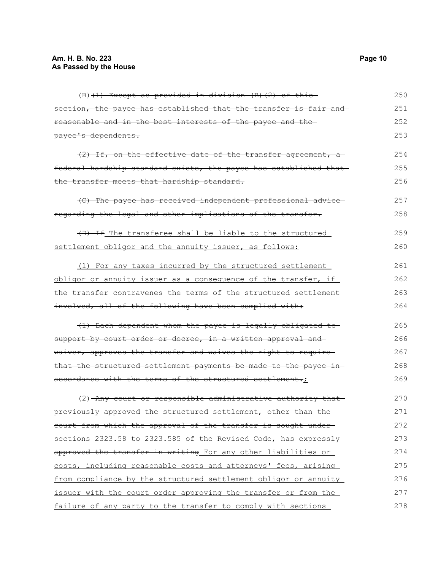$(B)$  (1) Except as provided in division (B)(2) of this section, the payee has established that the transfer is fair and reasonable and in the best interests of the payee and the payee's dependents.  $(2)$  If, on the effective date of the transfer agreement, afederal hardship standard exists, the payee has established that the transfer meets that hardship standard. (C) The payee has received independent professional advice regarding the legal and other implications of the transfer. (D) If The transferee shall be liable to the structured settlement obligor and the annuity issuer, as follows: (1) For any taxes incurred by the structured settlement obligor or annuity issuer as a consequence of the transfer, if the transfer contravenes the terms of the structured settlement involved, all of the following have been complied with: (1) Each dependent whom the payee is legally obligated to support by court order or decree, in a written approval and waiver, approves the transfer and waives the right to require that the structured settlement payments be made to the payee in accordance with the terms of the structured settlement.; (2) Any court or responsible administrative authority that previously approved the structured settlement, other than the court from which the approval of the transfer is sought under sections 2323.58 to 2323.585 of the Revised Code, has expresslyapproved the transfer in writing For any other liabilities or costs, including reasonable costs and attorneys' fees, arising from compliance by the structured settlement obligor or annuity issuer with the court order approving the transfer or from the failure of any party to the transfer to comply with sections 250 251 252 253 254 255 256 257 258 259 260 261 262 263 264 265 266 267 268 269 270 271 272 273 274 275 276 277 278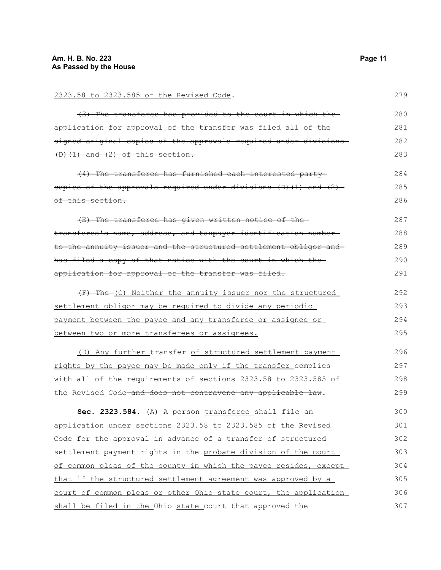| 2323.58 to 2323.585 of the Revised Code.                             | 279 |
|----------------------------------------------------------------------|-----|
| (3) The transferee has provided to the court in which the            | 280 |
| application for approval of the transfer was filed all of the-       | 281 |
| signed original copies of the approvals required under divisions     | 282 |
| $(D)$ $(1)$ and $(2)$ of this section.                               | 283 |
| (4) The transferee has furnished each interested party-              | 284 |
| copies of the approvals required under divisions $(D)$ (1) and $(2)$ | 285 |
| of this section.                                                     | 286 |
| (E) The transferee has given written notice of the-                  | 287 |
| transferee's name, address, and taxpayer identification number-      | 288 |
| to the annuity issuer and the structured settlement obligor and      | 289 |
| has filed a copy of that notice with the court in which the-         | 290 |
| application for approval of the transfer was filed.                  | 291 |
| (F) The (C) Neither the annuity issuer nor the structured            | 292 |
| settlement obligor may be required to divide any periodic            | 293 |
| payment between the payee and any transferee or assignee or          | 294 |
| between two or more transferees or assignees.                        | 295 |
| (D) Any further transfer of structured settlement payment            | 296 |
| rights by the payee may be made only if the transfer complies        | 297 |
| with all of the requirements of sections 2323.58 to 2323.585 of      | 298 |
| the Revised Code and does not contravene any applicable law.         | 299 |
| Sec. 2323.584. (A) A person-transferee shall file an                 | 300 |
| application under sections 2323.58 to 2323.585 of the Revised        | 301 |
| Code for the approval in advance of a transfer of structured         | 302 |
| settlement payment rights in the probate division of the court       | 303 |
| of common pleas of the county in which the payee resides, except     | 304 |
| that if the structured settlement agreement was approved by a        | 305 |
| court of common pleas or other Ohio state court, the application     | 306 |
| shall be filed in the Ohio state court that approved the             | 307 |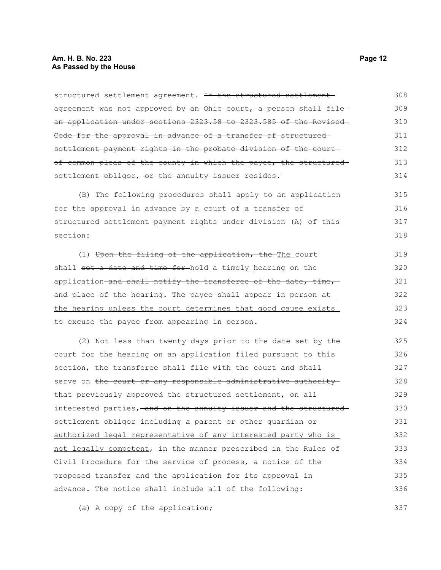#### **Am. H. B. No. 223 Page 12 As Passed by the House**

structured settlement agreement. If the structured settlement agreement was not approved by an Ohio court, a person shall filean application under sections 2323.58 to 2323.585 of the Revised Code for the approval in advance of a transfer of structured settlement payment rights in the probate division of the courtof common pleas of the county in which the payee, the structuredsettlement obligor, or the annuity issuer resides. (B) The following procedures shall apply to an application for the approval in advance by a court of a transfer of structured settlement payment rights under division (A) of this section: (1) Upon the filing of the application, the The court shall set a date and time for hold a timely hearing on the application and shall notify the transferee of the date, time, and place of the hearing. The payee shall appear in person at the hearing unless the court determines that good cause exists to excuse the payee from appearing in person. (2) Not less than twenty days prior to the date set by the court for the hearing on an application filed pursuant to this section, the transferee shall file with the court and shall serve on the court or any responsible administrative authority that previously approved the structured settlement, on all interested parties, and on the annuity issuer and the structured settlement obligor including a parent or other quardian or authorized legal representative of any interested party who is not legally competent, in the manner prescribed in the Rules of Civil Procedure for the service of process, a notice of the proposed transfer and the application for its approval in 308 309 310 311 312 313 314 315 316 317 318 319 320 321 322 323 324 325 326 327 328 329 330 331 332 333 334 335

(a) A copy of the application;

advance. The notice shall include all of the following:

337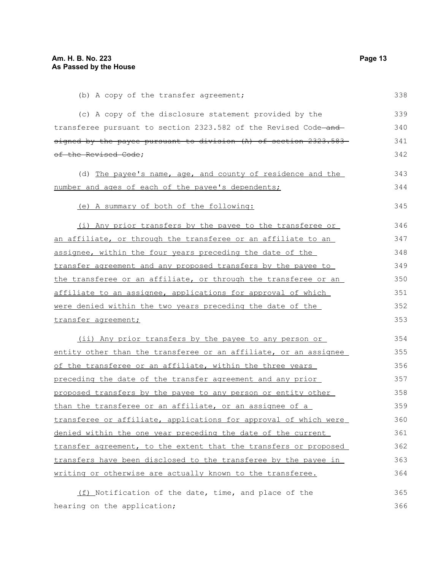| (b) A copy of the transfer agreement;                                       | 338 |
|-----------------------------------------------------------------------------|-----|
| (c) A copy of the disclosure statement provided by the                      | 339 |
| transferee pursuant to section 2323.582 of the Revised Code <del>-and</del> | 340 |
| <u>signed by the payee pursuant to division (A) of section 2323.583–</u>    | 341 |
| <del>of the Revised Code</del> ;                                            | 342 |
| (d) The payee's name, age, and county of residence and the                  | 343 |
| <u>number and ages of each of the payee's dependents;</u>                   | 344 |
| (e) A summary of both of the following:                                     | 345 |
| (i) Any prior transfers by the payee to the transferee or                   | 346 |
| <u>an affiliate, or through the transferee or an affiliate to an </u>       | 347 |
| <u>assignee, within the four years preceding the date of the </u>           | 348 |
| transfer agreement and any proposed transfers by the payee to               | 349 |
| the transferee or an affiliate, or through the transferee or an             | 350 |
| <u>affiliate to an assignee, applications for approval of which </u>        | 351 |
| were denied within the two years preceding the date of the                  | 352 |
| transfer agreement;                                                         | 353 |
| (ii) Any prior transfers by the payee to any person or                      | 354 |
| entity other than the transferee or an affiliate, or an assignee            | 355 |
| of the transferee or an affiliate, within the three years                   | 356 |
| <u>preceding the date of the transfer agreement and any prior</u>           | 357 |
| proposed transfers by the payee to any person or entity other               | 358 |
| than the transferee or an affiliate, or an assignee of a                    | 359 |
| transferee or affiliate, applications for approval of which were            | 360 |
| denied within the one year preceding the date of the current                | 361 |
| transfer agreement, to the extent that the transfers or proposed            | 362 |
| transfers have been disclosed to the transferee by the payee in             | 363 |
| writing or otherwise are actually known to the transferee.                  | 364 |
| (f) Notification of the date, time, and place of the                        | 365 |

hearing on the application;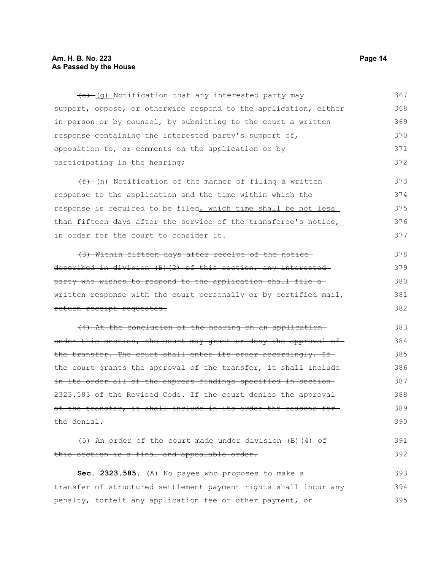### **Am. H. B. No. 223 Page 14 As Passed by the House**

 $(e)$  (g) Notification that any interested party may support, oppose, or otherwise respond to the application, either in person or by counsel, by submitting to the court a written response containing the interested party's support of, opposition to, or comments on the application or by participating in the hearing; 367 368 369 370 371 372

 $(f)$  (h) Notification of the manner of filing a written response to the application and the time within which the response is required to be filed, which time shall be not less than fifteen days after the service of the transferee's notice, in order for the court to consider it. 373 374 375 376 377

(3) Within fifteen days after receipt of the notice described in division (B)(2) of this section, any interested party who wishes to respond to the application shall file a written response with the court personally or by certified mail, return receipt requested. 378 379 380 381 382

(4) At the conclusion of the hearing on an application under this section, the court may grant or deny the approval of the transfer. The court shall enter its order accordingly. If the court grants the approval of the transfer, it shall includein its order all of the express findings specified in section 2323.583 of the Revised Code. If the court denies the approval of the transfer, it shall include in its order the reasons for the denial. 383 384 385 386 387 388 389 390

(5) An order of the court made under division (B)(4) of this section is a final and appealable order. 391 392

**Sec. 2323.585.** (A) No payee who proposes to make a transfer of structured settlement payment rights shall incur any penalty, forfeit any application fee or other payment, or 393 394 395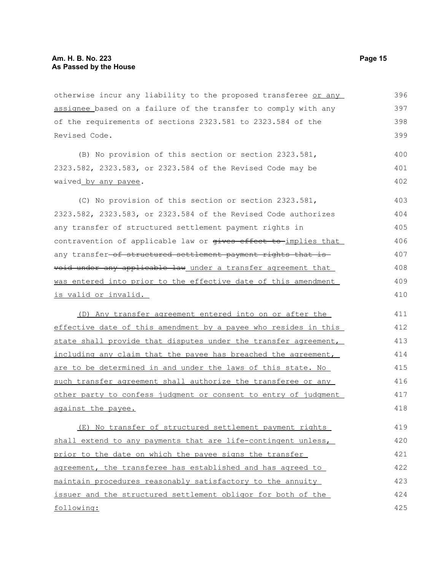otherwise incur any liability to the proposed transferee or any assignee based on a failure of the transfer to comply with any of the requirements of sections 2323.581 to 2323.584 of the Revised Code. 396 397 399

(B) No provision of this section or section 2323.581, 2323.582, 2323.583, or 2323.584 of the Revised Code may be waived by any payee.

(C) No provision of this section or section 2323.581, 2323.582, 2323.583, or 2323.584 of the Revised Code authorizes any transfer of structured settlement payment rights in contravention of applicable law or gives effect to implies that any transfer-of structured settlement payment rights that is void under any applicable law under a transfer agreement that was entered into prior to the effective date of this amendment is valid or invalid. 403 404 405 406 407 408 409 410

(D) Any transfer agreement entered into on or after the effective date of this amendment by a payee who resides in this state shall provide that disputes under the transfer agreement, including any claim that the payee has breached the agreement, are to be determined in and under the laws of this state. No such transfer agreement shall authorize the transferee or any other party to confess judgment or consent to entry of judgment against the payee. 411 412 413 414 415 416 417 418

(E) No transfer of structured settlement payment rights shall extend to any payments that are life-contingent unless, prior to the date on which the payee signs the transfer agreement, the transferee has established and has agreed to maintain procedures reasonably satisfactory to the annuity issuer and the structured settlement obligor for both of the following: 419 420 421 422 423 424 425

398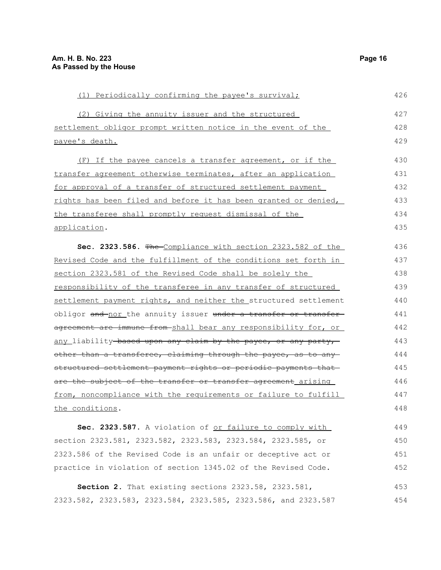| (1) Periodically confirming the payee's survival;                | 426 |
|------------------------------------------------------------------|-----|
| (2) Giving the annuity issuer and the structured                 | 427 |
| settlement obligor prompt written notice in the event of the     | 428 |
| payee's death.                                                   | 429 |
| (F) If the payee cancels a transfer agreement, or if the         | 430 |
| transfer agreement otherwise terminates, after an application    | 431 |
| for approval of a transfer of structured settlement payment      | 432 |
| rights has been filed and before it has been granted or denied,  | 433 |
| the transferee shall promptly request dismissal of the           | 434 |
| application.                                                     | 435 |
| Sec. 2323.586. The Compliance with section 2323.582 of the       | 436 |
| Revised Code and the fulfillment of the conditions set forth in  | 437 |
| section 2323.581 of the Revised Code shall be solely the         | 438 |
| responsibility of the transferee in any transfer of structured   | 439 |
| settlement payment rights, and neither the structured settlement | 440 |
| obligor and nor the annuity issuer under a transfer or transfer  | 441 |
| agreement are immune from-shall bear any responsibility for, or  | 442 |
| any liability based upon any claim by the payee, or any party,   | 443 |
| other than a transferee, claiming through the payee, as to any   | 444 |
| structured settlement payment rights or periodic payments that   | 445 |
| are the subject of the transfer or transfer agreement arising    | 446 |
| from, noncompliance with the requirements or failure to fulfill  | 447 |
| the conditions.                                                  | 448 |
| Sec. 2323.587. A violation of or failure to comply with          | 449 |
| section 2323.581, 2323.582, 2323.583, 2323.584, 2323.585, or     | 450 |
| 2323.586 of the Revised Code is an unfair or deceptive act or    | 451 |
| practice in violation of section 1345.02 of the Revised Code.    | 452 |
| Section 2. That existing sections 2323.58, 2323.581,             | 453 |
| 2323.582, 2323.583, 2323.584, 2323.585, 2323.586, and 2323.587   | 454 |